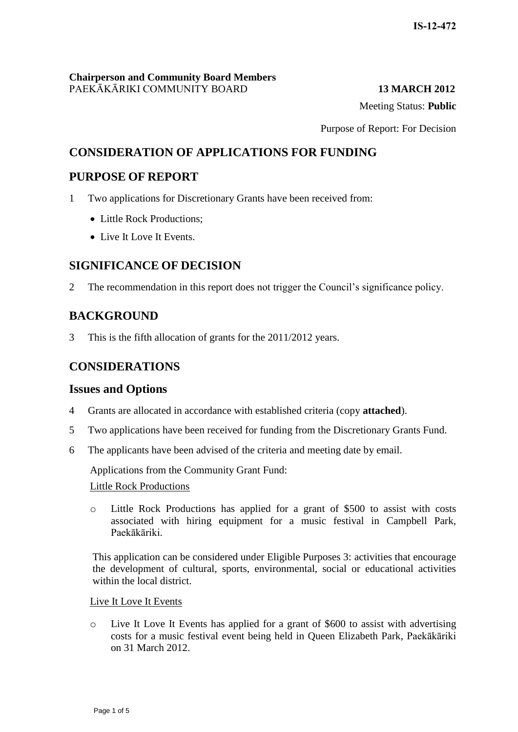## **Chairperson and Community Board Members** PAEKĀKĀRIKI COMMUNITY BOARD **13 MARCH 2012**

Meeting Status: **Public**

Purpose of Report: For Decision

# **CONSIDERATION OF APPLICATIONS FOR FUNDING**

## **PURPOSE OF REPORT**

- 1 Two applications for Discretionary Grants have been received from:
	- Little Rock Productions;
	- Live It Love It Events.

# **SIGNIFICANCE OF DECISION**

2 The recommendation in this report does not trigger the Council's significance policy.

## **BACKGROUND**

3 This is the fifth allocation of grants for the 2011/2012 years.

# **CONSIDERATIONS**

## **Issues and Options**

- 4 Grants are allocated in accordance with established criteria (copy **attached**).
- 5 Two applications have been received for funding from the Discretionary Grants Fund.
- 6 The applicants have been advised of the criteria and meeting date by email.

Applications from the Community Grant Fund:

## Little Rock Productions

o Little Rock Productions has applied for a grant of \$500 to assist with costs associated with hiring equipment for a music festival in Campbell Park, Paekākāriki.

This application can be considered under Eligible Purposes 3: activities that encourage the development of cultural, sports, environmental, social or educational activities within the local district.

## Live It Love It Events

o Live It Love It Events has applied for a grant of \$600 to assist with advertising costs for a music festival event being held in Queen Elizabeth Park, Paekākāriki on 31 March 2012.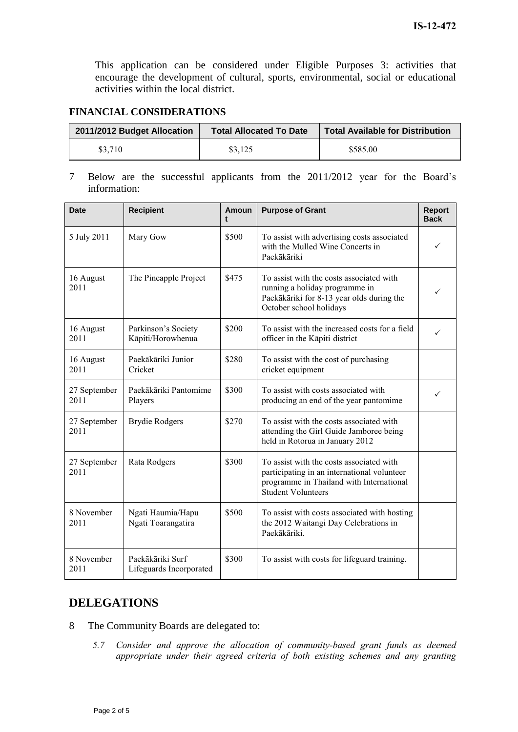This application can be considered under Eligible Purposes 3: activities that encourage the development of cultural, sports, environmental, social or educational activities within the local district.

## **FINANCIAL CONSIDERATIONS**

| 2011/2012 Budget Allocation | <b>Total Allocated To Date</b> | <b>Total Available for Distribution</b> |
|-----------------------------|--------------------------------|-----------------------------------------|
| \$3.710                     | \$3.125                        | \$585.00                                |

7 Below are the successful applicants from the 2011/2012 year for the Board's information:

| <b>Date</b>          | <b>Recipient</b>                            | Amoun | <b>Purpose of Grant</b>                                                                                                                                          | <b>Report</b><br><b>Back</b> |
|----------------------|---------------------------------------------|-------|------------------------------------------------------------------------------------------------------------------------------------------------------------------|------------------------------|
| 5 July 2011          | Mary Gow                                    | \$500 | To assist with advertising costs associated<br>with the Mulled Wine Concerts in<br>Paekākāriki                                                                   | ✓                            |
| 16 August<br>2011    | The Pineapple Project                       | \$475 | To assist with the costs associated with<br>running a holiday programme in<br>Paekākāriki for 8-13 year olds during the<br>October school holidays               | ✓                            |
| 16 August<br>2011    | Parkinson's Society<br>Kāpiti/Horowhenua    | \$200 | To assist with the increased costs for a field<br>officer in the Kāpiti district                                                                                 |                              |
| 16 August<br>2011    | Paekākāriki Junior<br>Cricket               | \$280 | To assist with the cost of purchasing<br>cricket equipment                                                                                                       |                              |
| 27 September<br>2011 | Paekākāriki Pantomime<br>Players            | \$300 | To assist with costs associated with<br>producing an end of the year pantomime                                                                                   | ✓                            |
| 27 September<br>2011 | <b>Brydie Rodgers</b>                       | \$270 | To assist with the costs associated with<br>attending the Girl Guide Jamboree being<br>held in Rotorua in January 2012                                           |                              |
| 27 September<br>2011 | Rata Rodgers                                | \$300 | To assist with the costs associated with<br>participating in an international volunteer<br>programme in Thailand with International<br><b>Student Volunteers</b> |                              |
| 8 November<br>2011   | Ngati Haumia/Hapu<br>Ngati Toarangatira     | \$500 | To assist with costs associated with hosting<br>the 2012 Waitangi Day Celebrations in<br>Paekākāriki.                                                            |                              |
| 8 November<br>2011   | Paekākāriki Surf<br>Lifeguards Incorporated | \$300 | To assist with costs for lifeguard training.                                                                                                                     |                              |

# **DELEGATIONS**

- 8 The Community Boards are delegated to:
	- *5.7 Consider and approve the allocation of community-based grant funds as deemed appropriate under their agreed criteria of both existing schemes and any granting*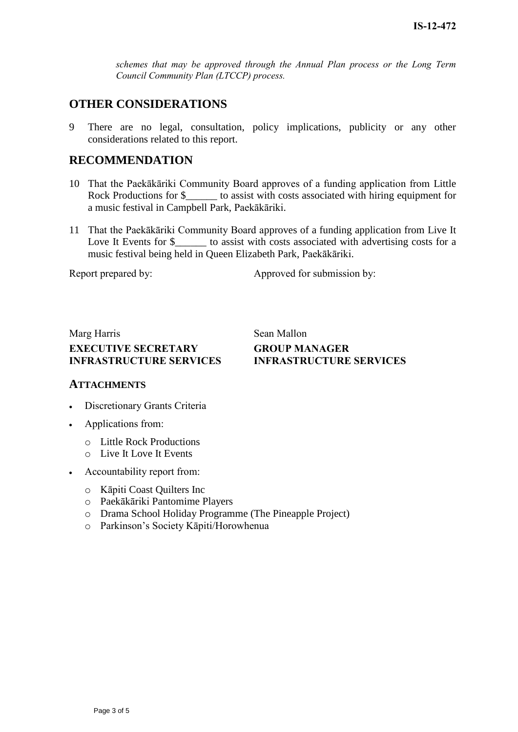*schemes that may be approved through the Annual Plan process or the Long Term Council Community Plan (LTCCP) process.*

## **OTHER CONSIDERATIONS**

9 There are no legal, consultation, policy implications, publicity or any other considerations related to this report.

## **RECOMMENDATION**

- 10 That the Paekākāriki Community Board approves of a funding application from Little Rock Productions for \$ to assist with costs associated with hiring equipment for a music festival in Campbell Park, Paekākāriki.
- 11 That the Paekākāriki Community Board approves of a funding application from Live It Love It Events for \$\_\_\_\_\_\_\_ to assist with costs associated with advertising costs for a music festival being held in Queen Elizabeth Park, Paekākāriki.

Report prepared by: Approved for submission by:

## Marg Harris Sean Mallon **EXECUTIVE SECRETARY INFRASTRUCTURE SERVICES**

**GROUP MANAGER INFRASTRUCTURE SERVICES**

## **ATTACHMENTS**

- Discretionary Grants Criteria
- Applications from:
	- o Little Rock Productions
	- o Live It Love It Events
- Accountability report from:
	- o Kāpiti Coast Quilters Inc
	- o Paekākāriki Pantomime Players
	- o Drama School Holiday Programme (The Pineapple Project)
	- o Parkinson's Society Kāpiti/Horowhenua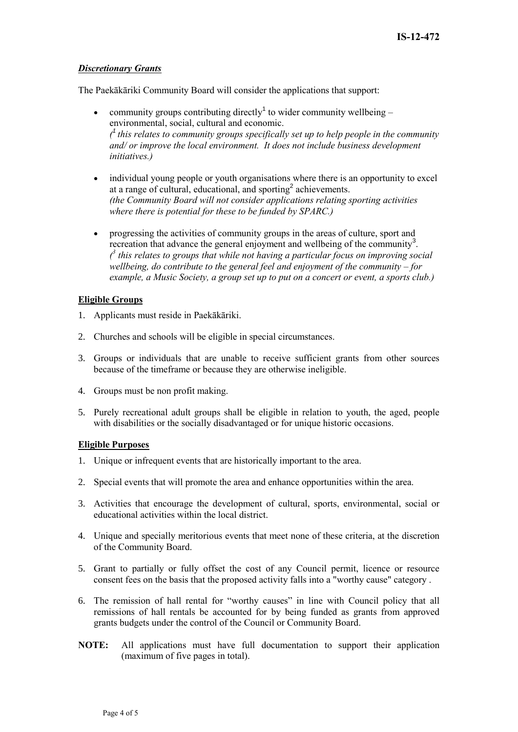## *Discretionary Grants*

The Paekākāriki Community Board will consider the applications that support:

- community groups contributing directly<sup>1</sup> to wider community wellbeing  $$ environmental, social, cultural and economic. *( <sup>1</sup>this relates to community groups specifically set up to help people in the community and/ or improve the local environment. It does not include business development initiatives.)*
- individual young people or youth organisations where there is an opportunity to excel at a range of cultural, educational, and sporting<sup>2</sup> achievements. *(the Community Board will not consider applications relating sporting activities where there is potential for these to be funded by SPARC.)*
- progressing the activities of community groups in the areas of culture, sport and recreation that advance the general enjoyment and wellbeing of the community<sup>3</sup>. *( 3 this relates to groups that while not having a particular focus on improving social wellbeing, do contribute to the general feel and enjoyment of the community – for example, a Music Society, a group set up to put on a concert or event, a sports club.)*

## **Eligible Groups**

- 1. Applicants must reside in Paekākāriki.
- 2. Churches and schools will be eligible in special circumstances.
- 3. Groups or individuals that are unable to receive sufficient grants from other sources because of the timeframe or because they are otherwise ineligible.
- 4. Groups must be non profit making.
- 5. Purely recreational adult groups shall be eligible in relation to youth, the aged, people with disabilities or the socially disadvantaged or for unique historic occasions.

#### **Eligible Purposes**

- 1. Unique or infrequent events that are historically important to the area.
- 2. Special events that will promote the area and enhance opportunities within the area.
- 3. Activities that encourage the development of cultural, sports, environmental, social or educational activities within the local district.
- 4. Unique and specially meritorious events that meet none of these criteria, at the discretion of the Community Board.
- 5. Grant to partially or fully offset the cost of any Council permit, licence or resource consent fees on the basis that the proposed activity falls into a "worthy cause" category .
- 6. The remission of hall rental for "worthy causes" in line with Council policy that all remissions of hall rentals be accounted for by being funded as grants from approved grants budgets under the control of the Council or Community Board.
- **NOTE:** All applications must have full documentation to support their application (maximum of five pages in total).